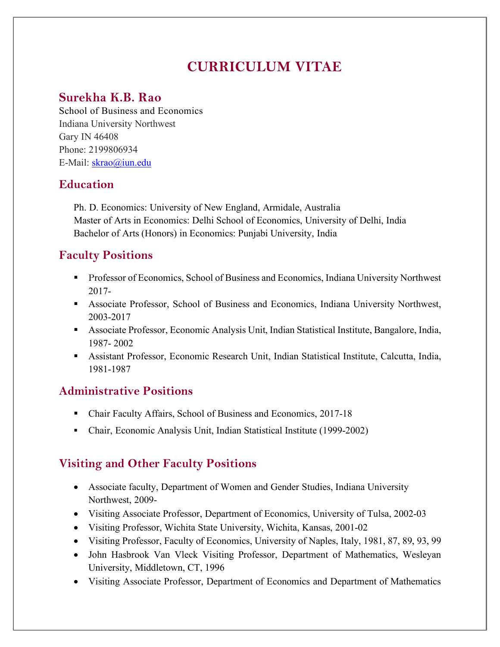# **CURRICULUM VITAE**

## **Surekha K.B. Rao**

School of Business and Economics Indiana University Northwest Gary IN 46408 Phone: 2199806934 E-Mail: skrao@iun.edu

## **Education**

Ph. D. Economics: University of New England, Armidale, Australia Master of Arts in Economics: Delhi School of Economics, University of Delhi, India Bachelor of Arts (Honors) in Economics: Punjabi University, India

## **Faculty Positions**

- Professor of Economics, School of Business and Economics, Indiana University Northwest 2017-
- Associate Professor, School of Business and Economics, Indiana University Northwest, 2003-2017
- § Associate Professor, Economic Analysis Unit, Indian Statistical Institute, Bangalore, India, 1987- 2002
- Assistant Professor, Economic Research Unit, Indian Statistical Institute, Calcutta, India, 1981-1987

## **Administrative Positions**

- Chair Faculty Affairs, School of Business and Economics, 2017-18
- Chair, Economic Analysis Unit, Indian Statistical Institute (1999-2002)

## **Visiting and Other Faculty Positions**

- Associate faculty, Department of Women and Gender Studies, Indiana University Northwest, 2009-
- Visiting Associate Professor, Department of Economics, University of Tulsa, 2002-03
- Visiting Professor, Wichita State University, Wichita, Kansas, 2001-02
- Visiting Professor, Faculty of Economics, University of Naples, Italy, 1981, 87, 89, 93, 99
- John Hasbrook Van Vleck Visiting Professor, Department of Mathematics, Wesleyan University, Middletown, CT, 1996
- Visiting Associate Professor, Department of Economics and Department of Mathematics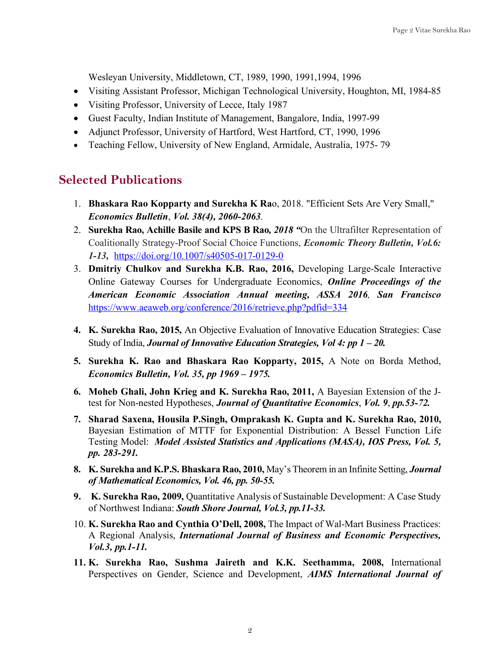Wesleyan University, Middletown, CT, 1989, 1990, 1991,1994, 1996

- Visiting Assistant Professor, Michigan Technological University, Houghton, MI, 1984-85
- Visiting Professor, University of Lecce, Italy 1987
- Guest Faculty, Indian Institute of Management, Bangalore, India, 1997-99
- Adjunct Professor, University of Hartford, West Hartford, CT, 1990, 1996
- Teaching Fellow, University of New England, Armidale, Australia, 1975- 79

### **Selected Publications**

- 1. **Bhaskara Rao Kopparty and Surekha K Ra**o, 2018. "Efficient Sets Are Very Small," *Economics Bulletin*, *Vol. 38(4), 2060-2063.*
- 2. **Surekha Rao, Achille Basile and KPS B Rao***, 2018 "*On the Ultrafilter Representation of Coalitionally Strategy-Proof Social Choice Functions, *Economic Theory Bulletin, Vol.6: 1-13,* https://doi.org/10.1007/s40505-017-0129-0
- 3. **Dmitriy Chulkov and Surekha K.B. Rao, 2016,** Developing Large-Scale Interactive Online Gateway Courses for Undergraduate Economics, *Online Proceedings of the American Economic Association Annual meeting, ASSA 2016, San Francisco* https://www.aeaweb.org/conference/2016/retrieve.php?pdfid=334
- **4. K. Surekha Rao, 2015,** An Objective Evaluation of Innovative Education Strategies: Case Study of India, *Journal of Innovative Education Strategies, Vol 4: pp 1 – 20.*
- **5. Surekha K. Rao and Bhaskara Rao Kopparty, 2015,** A Note on Borda Method, *Economics Bulletin, Vol. 35, pp 1969 – 1975.*
- **6. Moheb Ghali, John Krieg and K. Surekha Rao, 2011,** A Bayesian Extension of the Jtest for Non-nested Hypotheses, *Journal of Quantitative Economics*, *Vol. 9*, *pp.53-72.*
- **7. Sharad Saxena, Housila P.Singh, Omprakash K. Gupta and K. Surekha Rao, 2010,**  Bayesian Estimation of MTTF for Exponential Distribution: A Bessel Function Life Testing Model: *Model Assisted Statistics and Applications (MASA), IOS Press, Vol. 5, pp. 283-291.*
- **8. K. Surekha and K.P.S. Bhaskara Rao, 2010,** May's Theorem in an Infinite Setting, *Journal of Mathematical Economics, Vol. 46, pp. 50-55.*
- **9. K. Surekha Rao, 2009,** Quantitative Analysis of Sustainable Development: A Case Study of Northwest Indiana: *South Shore Journal, Vol.3, pp.11-33.*
- 10. **K. Surekha Rao and Cynthia O'Dell, 2008,** The Impact of Wal-Mart Business Practices: A Regional Analysis, *International Journal of Business and Economic Perspectives, Vol.3, pp.1-11.*
- **11. K. Surekha Rao, Sushma Jaireth and K.K. Seethamma, 2008,** International Perspectives on Gender, Science and Development, *AIMS International Journal of*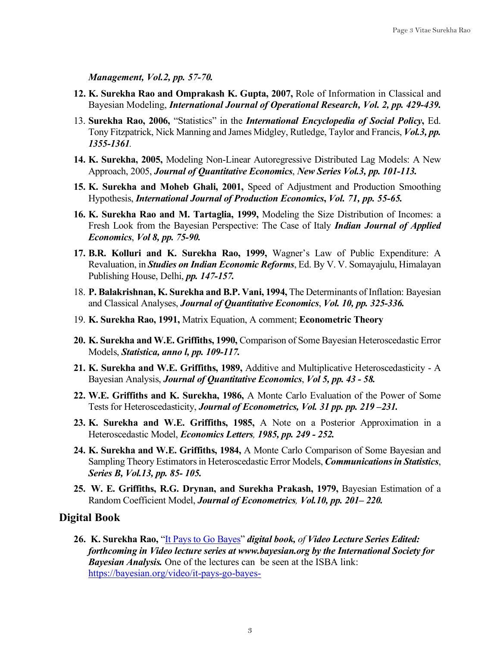*Management, Vol.2, pp. 57-70.*

- **12. K. Surekha Rao and Omprakash K. Gupta, 2007,** Role of Information in Classical and Bayesian Modeling, *International Journal of Operational Research, Vol. 2, pp. 429-439.*
- 13. **Surekha Rao, 2006,** "Statistics" in the *International Encyclopedia of Social Policy***,** Ed. Tony Fitzpatrick, Nick Manning and James Midgley, Rutledge, Taylor and Francis, *Vol.3, pp. 1355-1361.*
- **14. K. Surekha, 2005,** Modeling Non-Linear Autoregressive Distributed Lag Models: A New Approach, 2005, *Journal of Quantitative Economics*, *New Series Vol.3, pp. 101-113.*
- **15. K. Surekha and Moheb Ghali, 2001,** Speed of Adjustment and Production Smoothing Hypothesis, *International Journal of Production Economics***,** *Vol. 71, pp. 55-65.*
- **16. K. Surekha Rao and M. Tartaglia, 1999,** Modeling the Size Distribution of Incomes: a Fresh Look from the Bayesian Perspective: The Case of Italy *Indian Journal of Applied Economics*, *Vol 8, pp. 75-90.*
- **17. B.R. Kolluri and K. Surekha Rao, 1999,** Wagner's Law of Public Expenditure: A Revaluation, in *Studies on Indian Economic Reforms*, Ed. By V. V. Somayajulu, Himalayan Publishing House, Delhi, *pp. 147-157.*
- 18. **P. Balakrishnan, K. Surekha and B.P. Vani, 1994,** The Determinants of Inflation: Bayesian and Classical Analyses, *Journal of Quantitative Economics*, *Vol. 10, pp. 325-336.*
- 19. **K. Surekha Rao, 1991,** Matrix Equation, A comment; **Econometric Theory**
- **20. K. Surekha and W.E. Griffiths, 1990,** Comparison of Some Bayesian Heteroscedastic Error Models, *Statistica, anno l, pp. 109-117.*
- **21. K. Surekha and W.E. Griffiths, 1989,** Additive and Multiplicative Heteroscedasticity A Bayesian Analysis, *Journal of Quantitative Economics*, *Vol 5, pp. 43 - 58.*
- **22. W.E. Griffiths and K. Surekha, 1986,** A Monte Carlo Evaluation of the Power of Some Tests for Heteroscedasticity, *Journal of Econometrics, Vol. 31 pp. pp. 219 –231.*
- **23. K. Surekha and W.E. Griffiths, 1985,** A Note on a Posterior Approximation in a Heteroscedastic Model, *Economics Letters, 1985, pp. 249 - 252.*
- **24. K. Surekha and W.E. Griffiths, 1984,** A Monte Carlo Comparison of Some Bayesian and Sampling Theory Estimators in Heteroscedastic Error Models, *Communications in Statistics*, *Series B, Vol.13, pp. 85- 105.*
- **25. W. E. Griffiths, R.G. Drynan, and Surekha Prakash, 1979,** Bayesian Estimation of a Random Coefficient Model, *Journal of Econometrics, Vol.10, pp. 201– 220.*

#### **Digital Book**

**26. K. Surekha Rao,** "It Pays to Go Bayes" *digital book, of Video Lecture Series Edited: forthcoming in Video lecture series at www.bayesian.org by the International Society for Bayesian Analysis.* One of the lectures can be seen at the ISBA link: https://bayesian.org/video/it-pays-go-bayes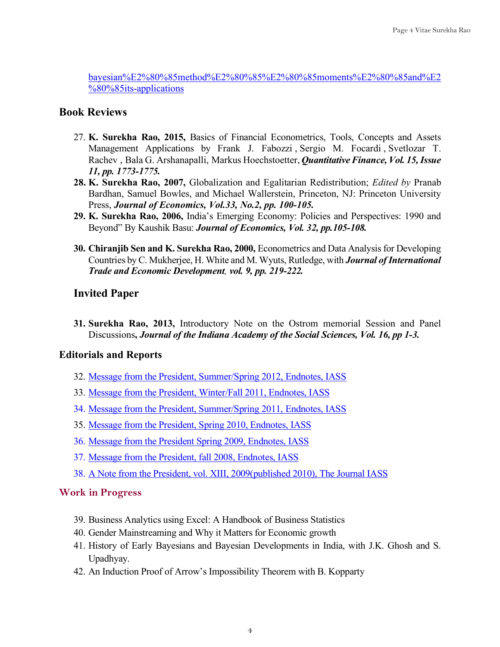bayesian%E2%80%85method%E2%80%85%E2%80%85moments%E2%80%85and%E2 %80%85its-applications

### **Book Reviews**

- 27. **K. Surekha Rao, 2015,** Basics of Financial Econometrics, Tools, Concepts and Assets Management Applications by Frank J. Fabozzi , Sergio M. Focardi , Svetlozar T. Rachev , Bala G. Arshanapalli, Markus Hoechstoetter, *Quantitative Finance, Vol. 15, Issue 11, pp. 1773-1775.*
- **28. K. Surekha Rao, 2007,** Globalization and Egalitarian Redistribution; *Edited by* Pranab Bardhan, Samuel Bowles, and Michael Wallerstein, Princeton, NJ: Princeton University Press, *Journal of Economics, Vol.33, No.2, pp. 100-105.*
- **29. K. Surekha Rao, 2006,** India's Emerging Economy: Policies and Perspectives: 1990 and Beyond" By Kaushik Basu: *Journal of Economics, Vol. 32, pp.105-108.*
- **30. Chiranjib Sen and K. Surekha Rao, 2000,** Econometrics and Data Analysisfor Developing Countries by C. Mukherjee, H. White and M. Wyuts, Rutledge, with *Journal of International Trade and Economic Development, vol. 9, pp. 219-222.*

### **Invited Paper**

**31. Surekha Rao, 2013,** Introductory Note on the Ostrom memorial Session and Panel Discussions**,** *Journal of the Indiana Academy of the Social Sciences, Vol. 16, pp 1-3.*

#### **Editorials and Reports**

- 32. Message from the President, Summer/Spring 2012, Endnotes, IASS
- 33. Message from the President, Winter/Fall 2011, Endnotes, IASS
- 34. Message from the President, Summer/Spring 2011, Endnotes, IASS
- 35. Message from the President, Spring 2010, Endnotes, IASS
- 36. Message from the President Spring 2009, Endnotes, IASS
- 37. Message from the President, fall 2008, Endnotes, IASS
- 38. A Note from the President, vol. XIII, 2009(published 2010), The Journal IASS

#### **Work in Progress**

- 39. Business Analytics using Excel: A Handbook of Business Statistics
- 40. Gender Mainstreaming and Why it Matters for Economic growth
- 41. History of Early Bayesians and Bayesian Developments in India, with J.K. Ghosh and S. Upadhyay.
- 42. An Induction Proof of Arrow's Impossibility Theorem with B. Kopparty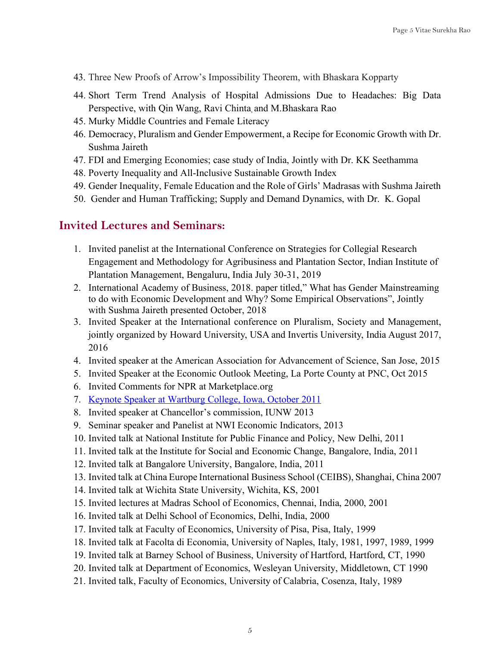- 43. Three New Proofs of Arrow's Impossibility Theorem, with Bhaskara Kopparty
- 44. Short Term Trend Analysis of Hospital Admissions Due to Headaches: Big Data Perspective, with Qin Wang, Ravi Chinta and M.Bhaskara Rao
- 45. Murky Middle Countries and Female Literacy
- 46. Democracy, Pluralism and Gender Empowerment, a Recipe for Economic Growth with Dr. Sushma Jaireth
- 47. FDI and Emerging Economies; case study of India, Jointly with Dr. KK Seethamma
- 48. Poverty Inequality and All-Inclusive Sustainable Growth Index
- 49. Gender Inequality, Female Education and the Role of Girls' Madrasas with Sushma Jaireth
- 50. Gender and Human Trafficking; Supply and Demand Dynamics, with Dr. K. Gopal

#### **Invited Lectures and Seminars:**

- 1. Invited panelist at the International Conference on Strategies for Collegial Research Engagement and Methodology for Agribusiness and Plantation Sector, Indian Institute of Plantation Management, Bengaluru, India July 30-31, 2019
- 2. International Academy of Business, 2018. paper titled," What has Gender Mainstreaming to do with Economic Development and Why? Some Empirical Observations", Jointly with Sushma Jaireth presented October, 2018
- 3. Invited Speaker at the International conference on Pluralism, Society and Management, jointly organized by Howard University, USA and Invertis University, India August 2017, 2016
- 4. Invited speaker at the American Association for Advancement of Science, San Jose, 2015
- 5. Invited Speaker at the Economic Outlook Meeting, La Porte County at PNC, Oct 2015
- 6. Invited Comments for NPR at Marketplace.org
- 7. Keynote Speaker at Wartburg College, Iowa, October 2011
- 8. Invited speaker at Chancellor's commission, IUNW 2013
- 9. Seminar speaker and Panelist at NWI Economic Indicators, 2013
- 10. Invited talk at National Institute for Public Finance and Policy, New Delhi, 2011
- 11. Invited talk at the Institute for Social and Economic Change, Bangalore, India, 2011
- 12. Invited talk at Bangalore University, Bangalore, India, 2011
- 13. Invited talk at China Europe International Business School (CEIBS), Shanghai, China 2007
- 14. Invited talk at Wichita State University, Wichita, KS, 2001
- 15. Invited lectures at Madras School of Economics, Chennai, India, 2000, 2001
- 16. Invited talk at Delhi School of Economics, Delhi, India, 2000
- 17. Invited talk at Faculty of Economics, University of Pisa, Pisa, Italy, 1999
- 18. Invited talk at Facolta di Economia, University of Naples, Italy, 1981, 1997, 1989, 1999
- 19. Invited talk at Barney School of Business, University of Hartford, Hartford, CT, 1990
- 20. Invited talk at Department of Economics, Wesleyan University, Middletown, CT 1990
- 21. Invited talk, Faculty of Economics, University of Calabria, Cosenza, Italy, 1989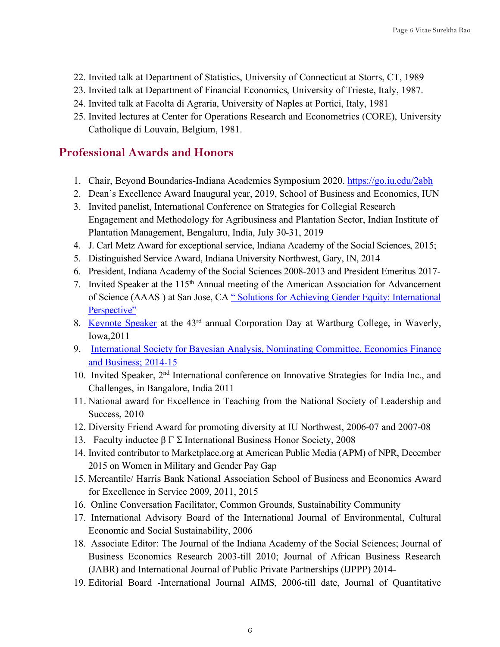- 22. Invited talk at Department of Statistics, University of Connecticut at Storrs, CT, 1989
- 23. Invited talk at Department of Financial Economics, University of Trieste, Italy, 1987.
- 24. Invited talk at Facolta di Agraria, University of Naples at Portici, Italy, 1981
- 25. Invited lectures at Center for Operations Research and Econometrics (CORE), University Catholique di Louvain, Belgium, 1981.

### **Professional Awards and Honors**

- 1. Chair, Beyond Boundaries-Indiana Academies Symposium 2020. https://go.iu.edu/2abh
- 2. Dean's Excellence Award Inaugural year, 2019, School of Business and Economics, IUN
- 3. Invited panelist, International Conference on Strategies for Collegial Research Engagement and Methodology for Agribusiness and Plantation Sector, Indian Institute of Plantation Management, Bengaluru, India, July 30-31, 2019
- 4. J. Carl Metz Award for exceptional service, Indiana Academy of the Social Sciences, 2015;
- 5. Distinguished Service Award, Indiana University Northwest, Gary, IN, 2014
- 6. President, Indiana Academy of the Social Sciences 2008-2013 and President Emeritus 2017-
- 7. Invited Speaker at the 115<sup>th</sup> Annual meeting of the American Association for Advancement of Science (AAAS ) at San Jose, CA " Solutions for Achieving Gender Equity: International Perspective"
- 8. Keynote Speaker at the 43rd annual Corporation Day at Wartburg College, in Waverly, Iowa,2011
- 9. International Society for Bayesian Analysis, Nominating Committee, Economics Finance and Business; 2014-15
- 10. Invited Speaker, 2nd International conference on Innovative Strategies for India Inc., and Challenges, in Bangalore, India 2011
- 11. National award for Excellence in Teaching from the National Society of Leadership and Success, 2010
- 12. Diversity Friend Award for promoting diversity at IU Northwest, 2006-07 and 2007-08
- 13. Faculty inductee β Γ Σ International Business Honor Society, 2008
- 14. Invited contributor to Marketplace.org at American Public Media (APM) of NPR, December 2015 on Women in Military and Gender Pay Gap
- 15. Mercantile/ Harris Bank National Association School of Business and Economics Award for Excellence in Service 2009, 2011, 2015
- 16. Online Conversation Facilitator, Common Grounds, Sustainability Community
- 17. International Advisory Board of the International Journal of Environmental, Cultural Economic and Social Sustainability, 2006
- 18. Associate Editor: The Journal of the Indiana Academy of the Social Sciences; Journal of Business Economics Research 2003-till 2010; Journal of African Business Research (JABR) and International Journal of Public Private Partnerships (IJPPP) 2014-
- 19. Editorial Board -International Journal AIMS, 2006-till date, Journal of Quantitative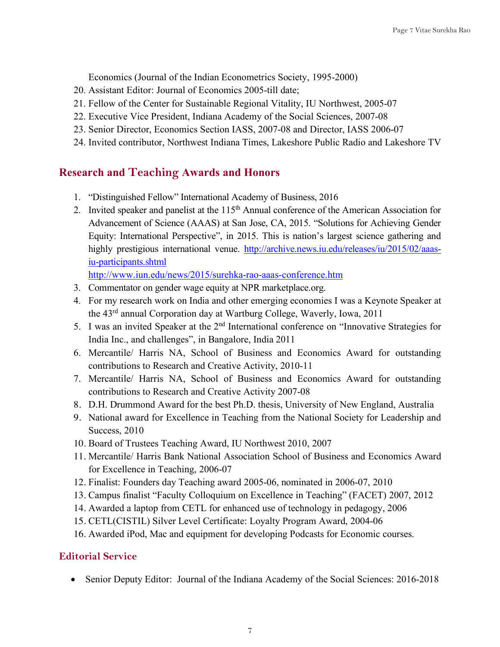Economics (Journal of the Indian Econometrics Society, 1995-2000)

- 20. Assistant Editor: Journal of Economics 2005-till date;
- 21. Fellow of the Center for Sustainable Regional Vitality, IU Northwest, 2005-07
- 22. Executive Vice President, Indiana Academy of the Social Sciences, 2007-08
- 23. Senior Director, Economics Section IASS, 2007-08 and Director, IASS 2006-07
- 24. Invited contributor, Northwest Indiana Times, Lakeshore Public Radio and Lakeshore TV

### **Research and Teaching Awards and Honors**

- 1. "Distinguished Fellow" International Academy of Business, 2016
- 2. Invited speaker and panelist at the 115<sup>th</sup> Annual conference of the American Association for Advancement of Science (AAAS) at San Jose, CA, 2015. "Solutions for Achieving Gender Equity: International Perspective", in 2015. This is nation's largest science gathering and highly prestigious international venue. http://archive.news.iu.edu/releases/iu/2015/02/aaasiu-participants.shtml

http://www.iun.edu/news/2015/surehka-rao-aaas-conference.htm

- 3. Commentator on gender wage equity at NPR marketplace.org.
- 4. For my research work on India and other emerging economies I was a Keynote Speaker at the 43rd annual Corporation day at Wartburg College, Waverly, Iowa, 2011
- 5. I was an invited Speaker at the 2<sup>nd</sup> International conference on "Innovative Strategies for India Inc., and challenges", in Bangalore, India 2011
- 6. Mercantile/ Harris NA, School of Business and Economics Award for outstanding contributions to Research and Creative Activity, 2010-11
- 7. Mercantile/ Harris NA, School of Business and Economics Award for outstanding contributions to Research and Creative Activity 2007-08
- 8. D.H. Drummond Award for the best Ph.D. thesis, University of New England, Australia
- 9. National award for Excellence in Teaching from the National Society for Leadership and Success, 2010
- 10. Board of Trustees Teaching Award, IU Northwest 2010, 2007
- 11. Mercantile/ Harris Bank National Association School of Business and Economics Award for Excellence in Teaching, 2006-07
- 12. Finalist: Founders day Teaching award 2005-06, nominated in 2006-07, 2010
- 13. Campus finalist "Faculty Colloquium on Excellence in Teaching" (FACET) 2007, 2012
- 14. Awarded a laptop from CETL for enhanced use of technology in pedagogy, 2006
- 15. CETL(CISTIL) Silver Level Certificate: Loyalty Program Award, 2004-06
- 16. Awarded iPod, Mac and equipment for developing Podcasts for Economic courses.

### **Editorial Service**

• Senior Deputy Editor: Journal of the Indiana Academy of the Social Sciences: 2016-2018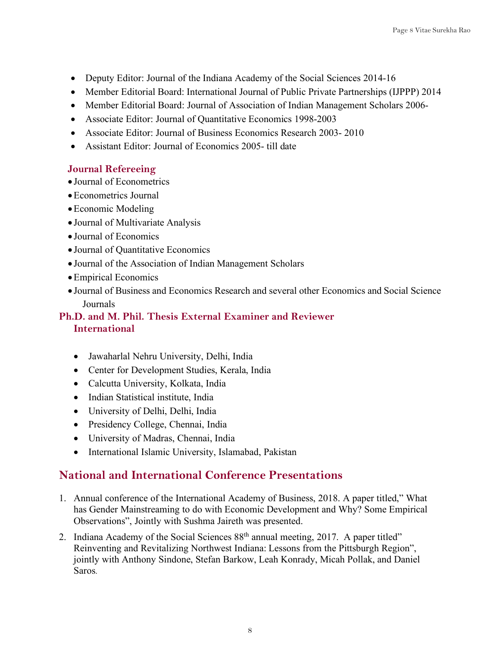- Deputy Editor: Journal of the Indiana Academy of the Social Sciences 2014-16
- Member Editorial Board: International Journal of Public Private Partnerships (IJPPP) 2014
- Member Editorial Board: Journal of Association of Indian Management Scholars 2006-
- Associate Editor: Journal of Quantitative Economics 1998-2003
- Associate Editor: Journal of Business Economics Research 2003- 2010
- Assistant Editor: Journal of Economics 2005- till date

### **Journal Refereeing**

- Journal of Econometrics
- •Econometrics Journal
- •Economic Modeling
- Journal of Multivariate Analysis
- Journal of Economics
- Journal of Quantitative Economics
- Journal of the Association of Indian Management Scholars
- •Empirical Economics
- Journal of Business and Economics Research and several other Economics and Social Science Journals

### **Ph.D. and M. Phil. Thesis External Examiner and Reviewer International**

- Jawaharlal Nehru University, Delhi, India
- Center for Development Studies, Kerala, India
- Calcutta University, Kolkata, India
- Indian Statistical institute, India
- University of Delhi, Delhi, India
- Presidency College, Chennai, India
- University of Madras, Chennai, India
- International Islamic University, Islamabad, Pakistan

## **National and International Conference Presentations**

- 1. Annual conference of the International Academy of Business, 2018. A paper titled," What has Gender Mainstreaming to do with Economic Development and Why? Some Empirical Observations", Jointly with Sushma Jaireth was presented.
- 2. Indiana Academy of the Social Sciences 88<sup>th</sup> annual meeting, 2017. A paper titled" Reinventing and Revitalizing Northwest Indiana: Lessons from the Pittsburgh Region", jointly with Anthony Sindone, Stefan Barkow, Leah Konrady, Micah Pollak, and Daniel Saros.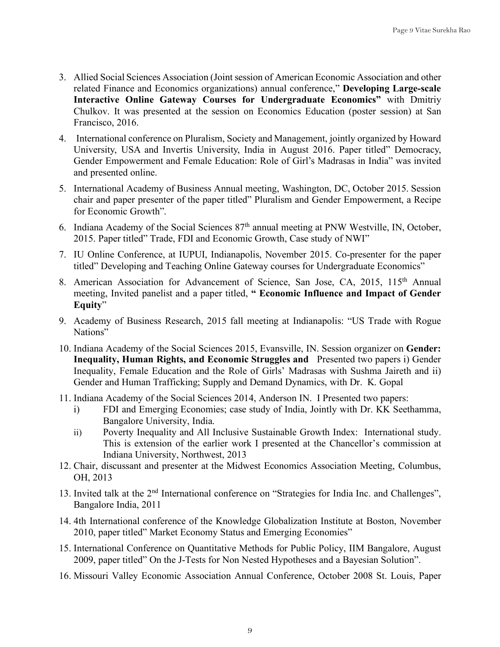- 3. Allied Social Sciences Association (Joint session of American Economic Association and other related Finance and Economics organizations) annual conference," **Developing Large-scale Interactive Online Gateway Courses for Undergraduate Economics"** with Dmitriy Chulkov. It was presented at the session on Economics Education (poster session) at San Francisco, 2016.
- 4. International conference on Pluralism, Society and Management, jointly organized by Howard University, USA and Invertis University, India in August 2016. Paper titled" Democracy, Gender Empowerment and Female Education: Role of Girl's Madrasas in India" was invited and presented online.
- 5. International Academy of Business Annual meeting, Washington, DC, October 2015. Session chair and paper presenter of the paper titled" Pluralism and Gender Empowerment, a Recipe for Economic Growth".
- 6. Indiana Academy of the Social Sciences 87th annual meeting at PNW Westville, IN, October, 2015. Paper titled" Trade, FDI and Economic Growth, Case study of NWI"
- 7. IU Online Conference, at IUPUI, Indianapolis, November 2015. Co-presenter for the paper titled" Developing and Teaching Online Gateway courses for Undergraduate Economics"
- 8. American Association for Advancement of Science, San Jose, CA, 2015, 115<sup>th</sup> Annual meeting, Invited panelist and a paper titled, **" Economic Influence and Impact of Gender Equity**"
- 9. Academy of Business Research, 2015 fall meeting at Indianapolis: "US Trade with Rogue Nations"
- 10. Indiana Academy of the Social Sciences 2015, Evansville, IN. Session organizer on **Gender: Inequality, Human Rights, and Economic Struggles and** Presented two papers i) Gender Inequality, Female Education and the Role of Girls' Madrasas with Sushma Jaireth and ii) Gender and Human Trafficking; Supply and Demand Dynamics, with Dr. K. Gopal
- 11. Indiana Academy of the Social Sciences 2014, Anderson IN. I Presented two papers:
	- i) FDI and Emerging Economies; case study of India, Jointly with Dr. KK Seethamma, Bangalore University, India.
	- ii) Poverty Inequality and All Inclusive Sustainable Growth Index: International study. This is extension of the earlier work I presented at the Chancellor's commission at Indiana University, Northwest, 2013
- 12. Chair, discussant and presenter at the Midwest Economics Association Meeting, Columbus, OH, 2013
- 13. Invited talk at the 2nd International conference on "Strategies for India Inc. and Challenges", Bangalore India, 2011
- 14. 4th International conference of the Knowledge Globalization Institute at Boston, November 2010, paper titled" Market Economy Status and Emerging Economies"
- 15. International Conference on Quantitative Methods for Public Policy, IIM Bangalore, August 2009, paper titled" On the J-Tests for Non Nested Hypotheses and a Bayesian Solution".
- 16. Missouri Valley Economic Association Annual Conference, October 2008 St. Louis, Paper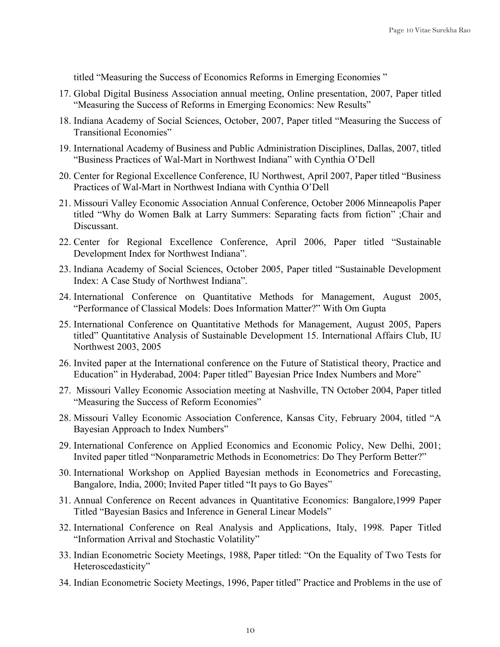titled "Measuring the Success of Economics Reforms in Emerging Economies "

- 17. Global Digital Business Association annual meeting, Online presentation, 2007, Paper titled "Measuring the Success of Reforms in Emerging Economics: New Results"
- 18. Indiana Academy of Social Sciences, October, 2007, Paper titled "Measuring the Success of Transitional Economies"
- 19. International Academy of Business and Public Administration Disciplines, Dallas, 2007, titled "Business Practices of Wal-Mart in Northwest Indiana" with Cynthia O'Dell
- 20. Center for Regional Excellence Conference, IU Northwest, April 2007, Paper titled "Business Practices of Wal-Mart in Northwest Indiana with Cynthia O'Dell
- 21. Missouri Valley Economic Association Annual Conference, October 2006 Minneapolis Paper titled "Why do Women Balk at Larry Summers: Separating facts from fiction" ;Chair and Discussant.
- 22. Center for Regional Excellence Conference, April 2006, Paper titled "Sustainable Development Index for Northwest Indiana".
- 23. Indiana Academy of Social Sciences, October 2005, Paper titled "Sustainable Development Index: A Case Study of Northwest Indiana".
- 24. International Conference on Quantitative Methods for Management, August 2005, "Performance of Classical Models: Does Information Matter?" With Om Gupta
- 25. International Conference on Quantitative Methods for Management, August 2005, Papers titled" Quantitative Analysis of Sustainable Development 15. International Affairs Club, IU Northwest 2003, 2005
- 26. Invited paper at the International conference on the Future of Statistical theory, Practice and Education" in Hyderabad, 2004: Paper titled" Bayesian Price Index Numbers and More"
- 27. Missouri Valley Economic Association meeting at Nashville, TN October 2004, Paper titled "Measuring the Success of Reform Economies"
- 28. Missouri Valley Economic Association Conference, Kansas City, February 2004, titled "A Bayesian Approach to Index Numbers"
- 29. International Conference on Applied Economics and Economic Policy, New Delhi, 2001; Invited paper titled "Nonparametric Methods in Econometrics: Do They Perform Better?"
- 30. International Workshop on Applied Bayesian methods in Econometrics and Forecasting, Bangalore, India, 2000; Invited Paper titled "It pays to Go Bayes"
- 31. Annual Conference on Recent advances in Quantitative Economics: Bangalore,1999 Paper Titled "Bayesian Basics and Inference in General Linear Models"
- 32. International Conference on Real Analysis and Applications, Italy, 1998. Paper Titled "Information Arrival and Stochastic Volatility"
- 33. Indian Econometric Society Meetings, 1988, Paper titled: "On the Equality of Two Tests for Heteroscedasticity"
- 34. Indian Econometric Society Meetings, 1996, Paper titled" Practice and Problems in the use of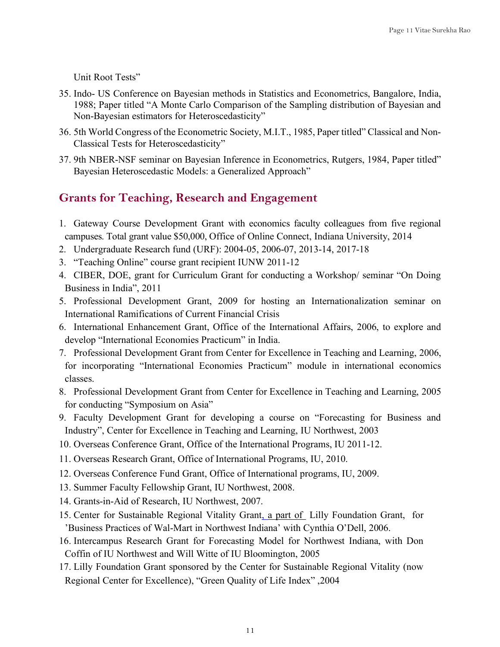Unit Root Tests"

- 35. Indo- US Conference on Bayesian methods in Statistics and Econometrics, Bangalore, India, 1988; Paper titled "A Monte Carlo Comparison of the Sampling distribution of Bayesian and Non-Bayesian estimators for Heteroscedasticity"
- 36. 5th World Congress of the Econometric Society, M.I.T., 1985, Paper titled" Classical and Non-Classical Tests for Heteroscedasticity"
- 37. 9th NBER-NSF seminar on Bayesian Inference in Econometrics, Rutgers, 1984, Paper titled" Bayesian Heteroscedastic Models: a Generalized Approach"

### **Grants for Teaching, Research and Engagement**

- 1. Gateway Course Development Grant with economics faculty colleagues from five regional campuses. Total grant value \$50,000, Office of Online Connect, Indiana University, 2014
- 2. Undergraduate Research fund (URF): 2004-05, 2006-07, 2013-14, 2017-18
- 3. "Teaching Online" course grant recipient IUNW 2011-12
- 4. CIBER, DOE, grant for Curriculum Grant for conducting a Workshop/ seminar "On Doing Business in India", 2011
- 5. Professional Development Grant, 2009 for hosting an Internationalization seminar on International Ramifications of Current Financial Crisis
- 6. International Enhancement Grant, Office of the International Affairs, 2006, to explore and develop "International Economies Practicum" in India.
- 7. Professional Development Grant from Center for Excellence in Teaching and Learning, 2006, for incorporating "International Economies Practicum" module in international economics classes.
- 8. Professional Development Grant from Center for Excellence in Teaching and Learning, 2005 for conducting "Symposium on Asia"
- 9. Faculty Development Grant for developing a course on "Forecasting for Business and Industry", Center for Excellence in Teaching and Learning, IU Northwest, 2003
- 10. Overseas Conference Grant, Office of the International Programs, IU 2011-12.
- 11. Overseas Research Grant, Office of International Programs, IU, 2010.
- 12. Overseas Conference Fund Grant, Office of International programs, IU, 2009.
- 13. Summer Faculty Fellowship Grant, IU Northwest, 2008.
- 14. Grants-in-Aid of Research, IU Northwest, 2007.
- 15. Center for Sustainable Regional Vitality Grant, a part of Lilly Foundation Grant, for 'Business Practices of Wal-Mart in Northwest Indiana' with Cynthia O'Dell, 2006.
- 16. Intercampus Research Grant for Forecasting Model for Northwest Indiana, with Don Coffin of IU Northwest and Will Witte of IU Bloomington, 2005
- 17. Lilly Foundation Grant sponsored by the Center for Sustainable Regional Vitality (now Regional Center for Excellence), "Green Quality of Life Index" ,2004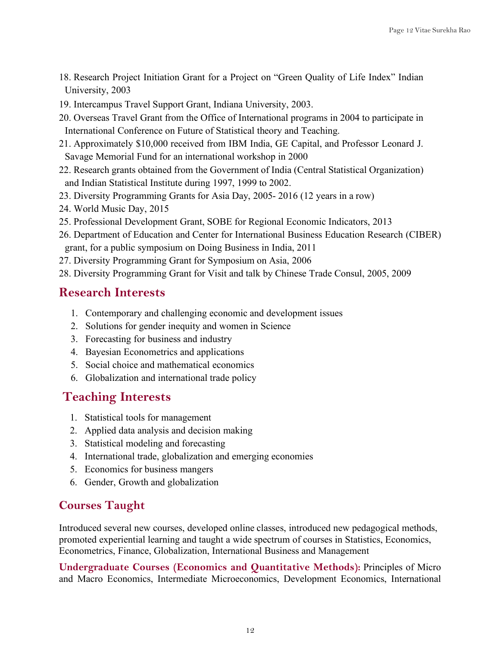- 18. Research Project Initiation Grant for a Project on "Green Quality of Life Index" Indian University, 2003
- 19. Intercampus Travel Support Grant, Indiana University, 2003.
- 20. Overseas Travel Grant from the Office of International programs in 2004 to participate in International Conference on Future of Statistical theory and Teaching.
- 21. Approximately \$10,000 received from IBM India, GE Capital, and Professor Leonard J. Savage Memorial Fund for an international workshop in 2000
- 22. Research grants obtained from the Government of India (Central Statistical Organization) and Indian Statistical Institute during 1997, 1999 to 2002.
- 23. Diversity Programming Grants for Asia Day, 2005- 2016 (12 years in a row)
- 24. World Music Day, 2015
- 25. Professional Development Grant, SOBE for Regional Economic Indicators, 2013
- 26. Department of Education and Center for International Business Education Research (CIBER) grant, for a public symposium on Doing Business in India, 2011
- 27. Diversity Programming Grant for Symposium on Asia, 2006
- 28. Diversity Programming Grant for Visit and talk by Chinese Trade Consul, 2005, 2009

## **Research Interests**

- 1. Contemporary and challenging economic and development issues
- 2. Solutions for gender inequity and women in Science
- 3. Forecasting for business and industry
- 4. Bayesian Econometrics and applications
- 5. Social choice and mathematical economics
- 6. Globalization and international trade policy

## **Teaching Interests**

- 1. Statistical tools for management
- 2. Applied data analysis and decision making
- 3. Statistical modeling and forecasting
- 4. International trade, globalization and emerging economies
- 5. Economics for business mangers
- 6. Gender, Growth and globalization

## **Courses Taught**

Introduced several new courses, developed online classes, introduced new pedagogical methods, promoted experiential learning and taught a wide spectrum of courses in Statistics, Economics, Econometrics, Finance, Globalization, International Business and Management

**Undergraduate Courses (Economics and Quantitative Methods):** Principles of Micro and Macro Economics, Intermediate Microeconomics, Development Economics, International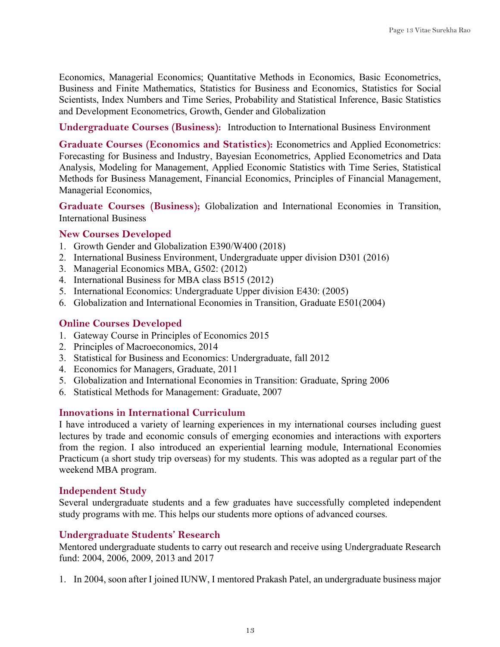Economics, Managerial Economics; Quantitative Methods in Economics, Basic Econometrics, Business and Finite Mathematics, Statistics for Business and Economics, Statistics for Social Scientists, Index Numbers and Time Series, Probability and Statistical Inference, Basic Statistics and Development Econometrics, Growth, Gender and Globalization

**Undergraduate Courses (Business):** Introduction to International Business Environment

**Graduate Courses (Economics and Statistics):** Econometrics and Applied Econometrics: Forecasting for Business and Industry, Bayesian Econometrics, Applied Econometrics and Data Analysis, Modeling for Management, Applied Economic Statistics with Time Series, Statistical Methods for Business Management, Financial Economics, Principles of Financial Management, Managerial Economics,

**Graduate Courses (Business);** Globalization and International Economies in Transition, International Business

#### **New Courses Developed**

- 1. Growth Gender and Globalization E390/W400 (2018)
- 2. International Business Environment, Undergraduate upper division D301 (2016)
- 3. Managerial Economics MBA, G502: (2012)
- 4. International Business for MBA class B515 (2012)
- 5. International Economics: Undergraduate Upper division E430: (2005)
- 6. Globalization and International Economies in Transition, Graduate E501(2004)

#### **Online Courses Developed**

- 1. Gateway Course in Principles of Economics 2015
- 2. Principles of Macroeconomics, 2014
- 3. Statistical for Business and Economics: Undergraduate, fall 2012
- 4. Economics for Managers, Graduate, 2011
- 5. Globalization and International Economies in Transition: Graduate, Spring 2006
- 6. Statistical Methods for Management: Graduate, 2007

#### **Innovations in International Curriculum**

I have introduced a variety of learning experiences in my international courses including guest lectures by trade and economic consuls of emerging economies and interactions with exporters from the region. I also introduced an experiential learning module, International Economies Practicum (a short study trip overseas) for my students. This was adopted as a regular part of the weekend MBA program.

#### **Independent Study**

Several undergraduate students and a few graduates have successfully completed independent study programs with me. This helps our students more options of advanced courses.

#### **Undergraduate Students' Research**

Mentored undergraduate students to carry out research and receive using Undergraduate Research fund: 2004, 2006, 2009, 2013 and 2017

1. In 2004, soon after I joined IUNW, I mentored Prakash Patel, an undergraduate business major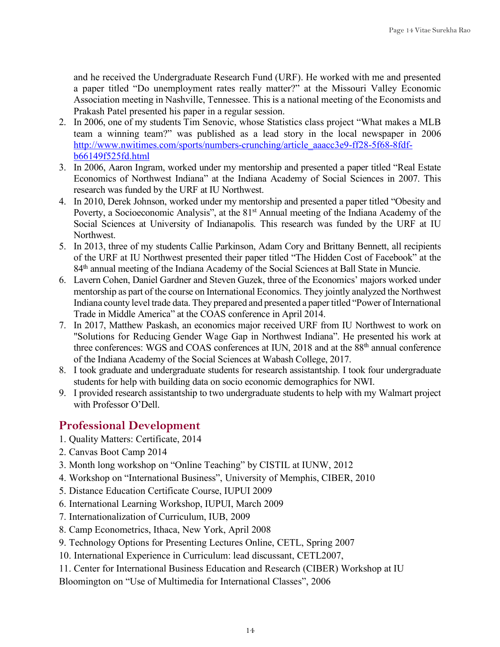and he received the Undergraduate Research Fund (URF). He worked with me and presented a paper titled "Do unemployment rates really matter?" at the Missouri Valley Economic Association meeting in Nashville, Tennessee. This is a national meeting of the Economists and Prakash Patel presented his paper in a regular session.

- 2. In 2006, one of my students Tim Senovic, whose Statistics class project "What makes a MLB team a winning team?" was published as a lead story in the local newspaper in 2006 http://www.nwitimes.com/sports/numbers-crunching/article\_aaacc3e9-ff28-5f68-8fdfb66149f525fd.html
- 3. In 2006, Aaron Ingram, worked under my mentorship and presented a paper titled "Real Estate Economics of Northwest Indiana" at the Indiana Academy of Social Sciences in 2007. This research was funded by the URF at IU Northwest.
- 4. In 2010, Derek Johnson, worked under my mentorship and presented a paper titled "Obesity and Poverty, a Socioeconomic Analysis", at the 81<sup>st</sup> Annual meeting of the Indiana Academy of the Social Sciences at University of Indianapolis. This research was funded by the URF at IU **Northwest**
- 5. In 2013, three of my students Callie Parkinson, Adam Cory and Brittany Bennett, all recipients of the URF at IU Northwest presented their paper titled "The Hidden Cost of Facebook" at the 84<sup>th</sup> annual meeting of the Indiana Academy of the Social Sciences at Ball State in Muncie.
- 6. Lavern Cohen, Daniel Gardner and Steven Guzek, three of the Economics' majors worked under mentorship as part of the course on International Economics. They jointly analyzed the Northwest Indiana county level trade data. They prepared and presented a paper titled "Power of International Trade in Middle America" at the COAS conference in April 2014.
- 7. In 2017, Matthew Paskash, an economics major received URF from IU Northwest to work on "Solutions for Reducing Gender Wage Gap in Northwest Indiana". He presented his work at three conferences: WGS and COAS conferences at IUN, 2018 and at the 88th annual conference of the Indiana Academy of the Social Sciences at Wabash College, 2017.
- 8. I took graduate and undergraduate students for research assistantship. I took four undergraduate students for help with building data on socio economic demographics for NWI.
- 9. I provided research assistantship to two undergraduate students to help with my Walmart project with Professor O'Dell.

## **Professional Development**

- 1. Quality Matters: Certificate, 2014
- 2. Canvas Boot Camp 2014
- 3. Month long workshop on "Online Teaching" by CISTIL at IUNW, 2012
- 4. Workshop on "International Business", University of Memphis, CIBER, 2010
- 5. Distance Education Certificate Course, IUPUI 2009
- 6. International Learning Workshop, IUPUI, March 2009
- 7. Internationalization of Curriculum, IUB, 2009
- 8. Camp Econometrics, Ithaca, New York, April 2008
- 9. Technology Options for Presenting Lectures Online, CETL, Spring 2007
- 10. International Experience in Curriculum: lead discussant, CETL2007,
- 11. Center for International Business Education and Research (CIBER) Workshop at IU

Bloomington on "Use of Multimedia for International Classes", 2006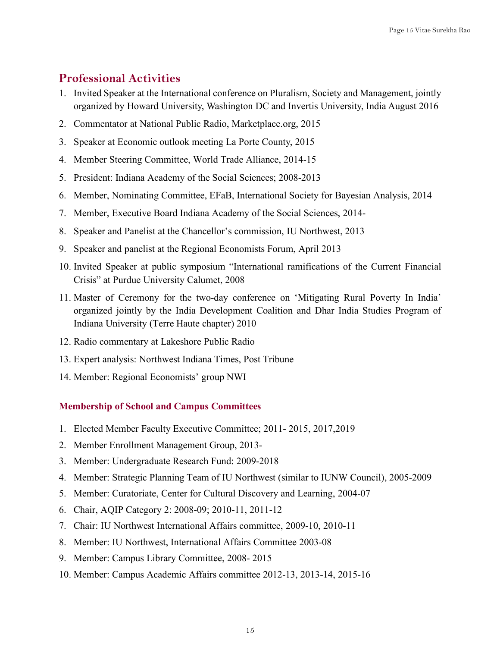### **Professional Activities**

- 1. Invited Speaker at the International conference on Pluralism, Society and Management, jointly organized by Howard University, Washington DC and Invertis University, India August 2016
- 2. Commentator at National Public Radio, Marketplace.org, 2015
- 3. Speaker at Economic outlook meeting La Porte County, 2015
- 4. Member Steering Committee, World Trade Alliance, 2014-15
- 5. President: Indiana Academy of the Social Sciences; 2008-2013
- 6. Member, Nominating Committee, EFaB, International Society for Bayesian Analysis, 2014
- 7. Member, Executive Board Indiana Academy of the Social Sciences, 2014-
- 8. Speaker and Panelist at the Chancellor's commission, IU Northwest, 2013
- 9. Speaker and panelist at the Regional Economists Forum, April 2013
- 10. Invited Speaker at public symposium "International ramifications of the Current Financial Crisis" at Purdue University Calumet, 2008
- 11. Master of Ceremony for the two-day conference on 'Mitigating Rural Poverty In India' organized jointly by the India Development Coalition and Dhar India Studies Program of Indiana University (Terre Haute chapter) 2010
- 12. Radio commentary at Lakeshore Public Radio
- 13. Expert analysis: Northwest Indiana Times, Post Tribune
- 14. Member: Regional Economists' group NWI

#### **Membership of School and Campus Committees**

- 1. Elected Member Faculty Executive Committee; 2011- 2015, 2017,2019
- 2. Member Enrollment Management Group, 2013-
- 3. Member: Undergraduate Research Fund: 2009-2018
- 4. Member: Strategic Planning Team of IU Northwest (similar to IUNW Council), 2005-2009
- 5. Member: Curatoriate, Center for Cultural Discovery and Learning, 2004-07
- 6. Chair, AQIP Category 2: 2008-09; 2010-11, 2011-12
- 7. Chair: IU Northwest International Affairs committee, 2009-10, 2010-11
- 8. Member: IU Northwest, International Affairs Committee 2003-08
- 9. Member: Campus Library Committee, 2008- 2015
- 10. Member: Campus Academic Affairs committee 2012-13, 2013-14, 2015-16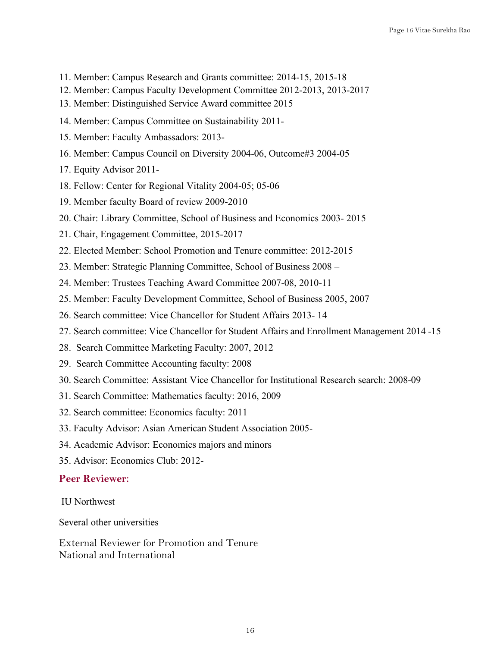- 11. Member: Campus Research and Grants committee: 2014-15, 2015-18
- 12. Member: Campus Faculty Development Committee 2012-2013, 2013-2017
- 13. Member: Distinguished Service Award committee 2015
- 14. Member: Campus Committee on Sustainability 2011-
- 15. Member: Faculty Ambassadors: 2013-
- 16. Member: Campus Council on Diversity 2004-06, Outcome#3 2004-05
- 17. Equity Advisor 2011-
- 18. Fellow: Center for Regional Vitality 2004-05; 05-06
- 19. Member faculty Board of review 2009-2010
- 20. Chair: Library Committee, School of Business and Economics 2003- 2015
- 21. Chair, Engagement Committee, 2015-2017
- 22. Elected Member: School Promotion and Tenure committee: 2012-2015
- 23. Member: Strategic Planning Committee, School of Business 2008 –
- 24. Member: Trustees Teaching Award Committee 2007-08, 2010-11
- 25. Member: Faculty Development Committee, School of Business 2005, 2007
- 26. Search committee: Vice Chancellor for Student Affairs 2013- 14
- 27. Search committee: Vice Chancellor for Student Affairs and Enrollment Management 2014 -15
- 28. Search Committee Marketing Faculty: 2007, 2012
- 29. Search Committee Accounting faculty: 2008
- 30. Search Committee: Assistant Vice Chancellor for Institutional Research search: 2008-09
- 31. Search Committee: Mathematics faculty: 2016, 2009
- 32. Search committee: Economics faculty: 2011
- 33. Faculty Advisor: Asian American Student Association 2005-
- 34. Academic Advisor: Economics majors and minors
- 35. Advisor: Economics Club: 2012-

#### **Peer Reviewer**:

IU Northwest

Several other universities

External Reviewer for Promotion and Tenure National and International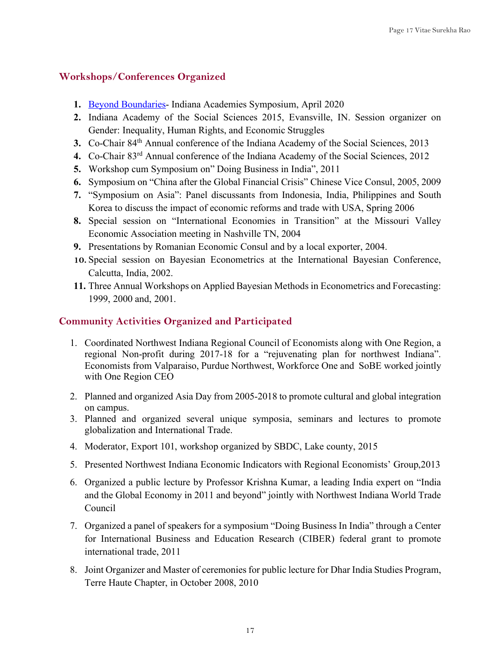#### **Workshops/Conferences Organized**

- **1.** Beyond Boundaries- Indiana Academies Symposium, April 2020
- **2.** Indiana Academy of the Social Sciences 2015, Evansville, IN. Session organizer on Gender: Inequality, Human Rights, and Economic Struggles
- **3.** Co-Chair 84th Annual conference of the Indiana Academy of the Social Sciences, 2013
- **4.** Co-Chair 83rd Annual conference of the Indiana Academy of the Social Sciences, 2012
- **5.** Workshop cum Symposium on" Doing Business in India", 2011
- **6.** Symposium on "China after the Global Financial Crisis" Chinese Vice Consul, 2005, 2009
- **7.** "Symposium on Asia": Panel discussants from Indonesia, India, Philippines and South Korea to discuss the impact of economic reforms and trade with USA, Spring 2006
- **8.** Special session on "International Economies in Transition" at the Missouri Valley Economic Association meeting in Nashville TN, 2004
- **9.** Presentations by Romanian Economic Consul and by a local exporter, 2004.
- **10.** Special session on Bayesian Econometrics at the International Bayesian Conference, Calcutta, India, 2002.
- **11.** Three Annual Workshops on Applied Bayesian Methods in Econometrics and Forecasting: 1999, 2000 and, 2001.

### **Community Activities Organized and Participated**

- 1. Coordinated Northwest Indiana Regional Council of Economists along with One Region, a regional Non-profit during 2017-18 for a "rejuvenating plan for northwest Indiana". Economists from Valparaiso, Purdue Northwest, Workforce One and SoBE worked jointly with One Region CEO
- 2. Planned and organized Asia Day from 2005-2018 to promote cultural and global integration on campus.
- 3. Planned and organized several unique symposia, seminars and lectures to promote globalization and International Trade.
- 4. Moderator, Export 101, workshop organized by SBDC, Lake county, 2015
- 5. Presented Northwest Indiana Economic Indicators with Regional Economists' Group,2013
- 6. Organized a public lecture by Professor Krishna Kumar, a leading India expert on "India and the Global Economy in 2011 and beyond" jointly with Northwest Indiana World Trade Council
- 7. Organized a panel of speakers for a symposium "Doing Business In India" through a Center for International Business and Education Research (CIBER) federal grant to promote international trade, 2011
- 8. Joint Organizer and Master of ceremonies for public lecture for Dhar India Studies Program, Terre Haute Chapter, in October 2008, 2010